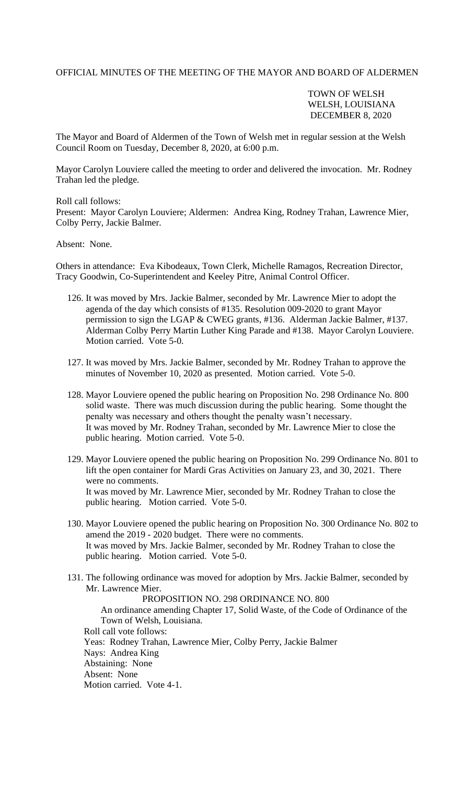## OFFICIAL MINUTES OF THE MEETING OF THE MAYOR AND BOARD OF ALDERMEN

## TOWN OF WELSH WELSH, LOUISIANA DECEMBER 8, 2020

The Mayor and Board of Aldermen of the Town of Welsh met in regular session at the Welsh Council Room on Tuesday, December 8, 2020, at 6:00 p.m.

Mayor Carolyn Louviere called the meeting to order and delivered the invocation. Mr. Rodney Trahan led the pledge.

Roll call follows:

Present: Mayor Carolyn Louviere; Aldermen: Andrea King, Rodney Trahan, Lawrence Mier, Colby Perry, Jackie Balmer.

## Absent: None.

Others in attendance: Eva Kibodeaux, Town Clerk, Michelle Ramagos, Recreation Director, Tracy Goodwin, Co-Superintendent and Keeley Pitre, Animal Control Officer.

- 126. It was moved by Mrs. Jackie Balmer, seconded by Mr. Lawrence Mier to adopt the agenda of the day which consists of #135. Resolution 009-2020 to grant Mayor permission to sign the LGAP & CWEG grants, #136. Alderman Jackie Balmer, #137. Alderman Colby Perry Martin Luther King Parade and #138. Mayor Carolyn Louviere. Motion carried. Vote 5-0.
- 127. It was moved by Mrs. Jackie Balmer, seconded by Mr. Rodney Trahan to approve the minutes of November 10, 2020 as presented. Motion carried. Vote 5-0.
- 128. Mayor Louviere opened the public hearing on Proposition No. 298 Ordinance No. 800 solid waste. There was much discussion during the public hearing. Some thought the penalty was necessary and others thought the penalty wasn't necessary. It was moved by Mr. Rodney Trahan, seconded by Mr. Lawrence Mier to close the public hearing. Motion carried. Vote 5-0.
- 129. Mayor Louviere opened the public hearing on Proposition No. 299 Ordinance No. 801 to lift the open container for Mardi Gras Activities on January 23, and 30, 2021. There were no comments. It was moved by Mr. Lawrence Mier, seconded by Mr. Rodney Trahan to close the public hearing. Motion carried. Vote 5-0.
- 130. Mayor Louviere opened the public hearing on Proposition No. 300 Ordinance No. 802 to amend the 2019 - 2020 budget. There were no comments. It was moved by Mrs. Jackie Balmer, seconded by Mr. Rodney Trahan to close the public hearing. Motion carried. Vote 5-0.
- 131. The following ordinance was moved for adoption by Mrs. Jackie Balmer, seconded by Mr. Lawrence Mier.

 PROPOSITION NO. 298 ORDINANCE NO. 800 An ordinance amending Chapter 17, Solid Waste, of the Code of Ordinance of the Town of Welsh, Louisiana. Roll call vote follows: Yeas: Rodney Trahan, Lawrence Mier, Colby Perry, Jackie Balmer Nays: Andrea King Abstaining: None Absent: None Motion carried. Vote 4-1.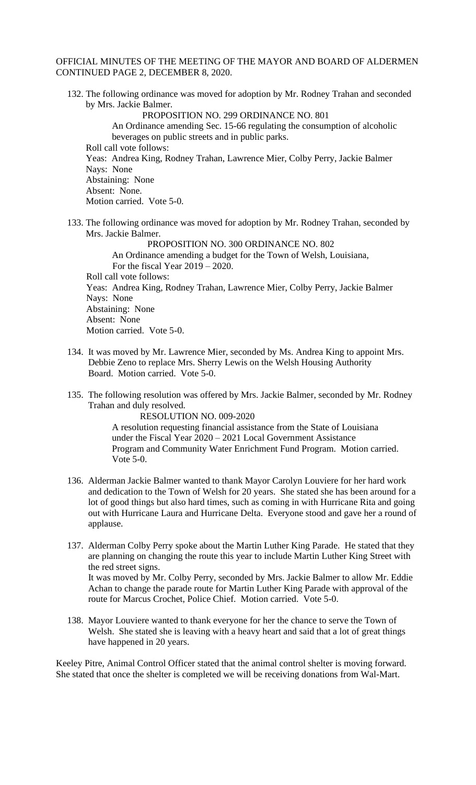## OFFICIAL MINUTES OF THE MEETING OF THE MAYOR AND BOARD OF ALDERMEN CONTINUED PAGE 2, DECEMBER 8, 2020.

- 132. The following ordinance was moved for adoption by Mr. Rodney Trahan and seconded by Mrs. Jackie Balmer. PROPOSITION NO. 299 ORDINANCE NO. 801 An Ordinance amending Sec. 15-66 regulating the consumption of alcoholic beverages on public streets and in public parks. Roll call vote follows: Yeas: Andrea King, Rodney Trahan, Lawrence Mier, Colby Perry, Jackie Balmer Nays: None Abstaining: None Absent: None. Motion carried. Vote 5-0.
- 133. The following ordinance was moved for adoption by Mr. Rodney Trahan, seconded by Mrs. Jackie Balmer.

 PROPOSITION NO. 300 ORDINANCE NO. 802 An Ordinance amending a budget for the Town of Welsh, Louisiana, For the fiscal Year 2019 – 2020. Roll call vote follows: Yeas: Andrea King, Rodney Trahan, Lawrence Mier, Colby Perry, Jackie Balmer Nays: None Abstaining: None Absent: None Motion carried. Vote 5-0.

- 134. It was moved by Mr. Lawrence Mier, seconded by Ms. Andrea King to appoint Mrs. Debbie Zeno to replace Mrs. Sherry Lewis on the Welsh Housing Authority Board. Motion carried. Vote 5-0.
- 135. The following resolution was offered by Mrs. Jackie Balmer, seconded by Mr. Rodney Trahan and duly resolved.

RESOLUTION NO. 009-2020 A resolution requesting financial assistance from the State of Louisiana under the Fiscal Year 2020 – 2021 Local Government Assistance Program and Community Water Enrichment Fund Program. Motion carried. Vote 5-0.

- 136. Alderman Jackie Balmer wanted to thank Mayor Carolyn Louviere for her hard work and dedication to the Town of Welsh for 20 years. She stated she has been around for a lot of good things but also hard times, such as coming in with Hurricane Rita and going out with Hurricane Laura and Hurricane Delta. Everyone stood and gave her a round of applause.
- 137. Alderman Colby Perry spoke about the Martin Luther King Parade. He stated that they are planning on changing the route this year to include Martin Luther King Street with the red street signs. It was moved by Mr. Colby Perry, seconded by Mrs. Jackie Balmer to allow Mr. Eddie Achan to change the parade route for Martin Luther King Parade with approval of the route for Marcus Crochet, Police Chief. Motion carried. Vote 5-0.
- 138. Mayor Louviere wanted to thank everyone for her the chance to serve the Town of Welsh. She stated she is leaving with a heavy heart and said that a lot of great things have happened in 20 years.

Keeley Pitre, Animal Control Officer stated that the animal control shelter is moving forward. She stated that once the shelter is completed we will be receiving donations from Wal-Mart.